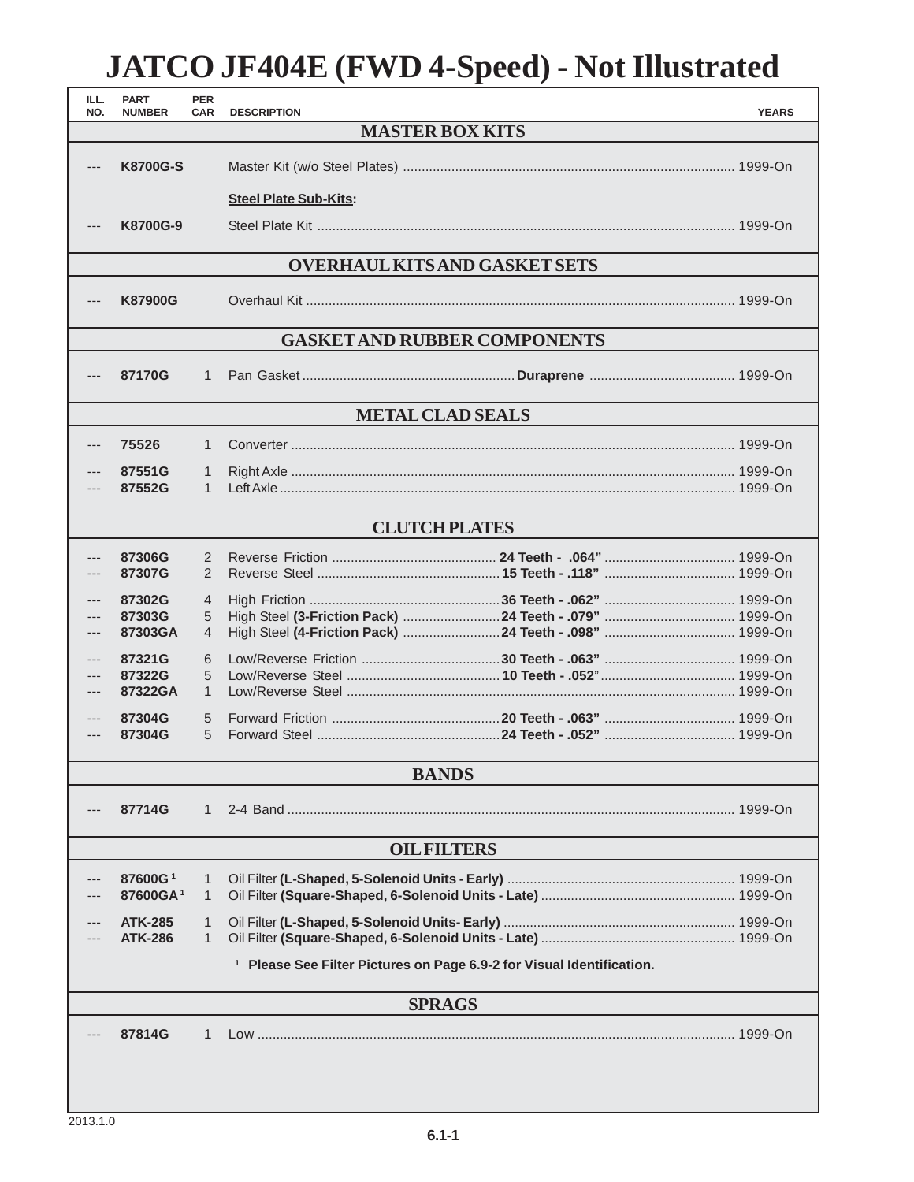## **JATCO JF404E (FWD 4-Speed) - Not Illustrated**

| ILL.<br>NO.                          | <b>PART</b><br><b>NUMBER</b>     | <b>PER</b><br><b>CAR</b> | <b>YEARS</b><br><b>DESCRIPTION</b>                                               |  |  |  |  |
|--------------------------------------|----------------------------------|--------------------------|----------------------------------------------------------------------------------|--|--|--|--|
|                                      | <b>MASTER BOX KITS</b>           |                          |                                                                                  |  |  |  |  |
| ---                                  | <b>K8700G-S</b>                  |                          |                                                                                  |  |  |  |  |
|                                      |                                  |                          | <b>Steel Plate Sub-Kits:</b>                                                     |  |  |  |  |
|                                      | K8700G-9                         |                          |                                                                                  |  |  |  |  |
| <b>OVERHAUL KITS AND GASKET SETS</b> |                                  |                          |                                                                                  |  |  |  |  |
|                                      | <b>K87900G</b>                   |                          |                                                                                  |  |  |  |  |
| <b>GASKET AND RUBBER COMPONENTS</b>  |                                  |                          |                                                                                  |  |  |  |  |
| ---                                  | 87170G                           | $\mathbf{1}$             |                                                                                  |  |  |  |  |
| <b>METAL CLAD SEALS</b>              |                                  |                          |                                                                                  |  |  |  |  |
| ---                                  | 75526                            | $\mathbf{1}$             |                                                                                  |  |  |  |  |
|                                      | 87551G                           | 1                        |                                                                                  |  |  |  |  |
|                                      | 87552G                           | $\mathbf{1}$             |                                                                                  |  |  |  |  |
| <b>CLUTCH PLATES</b>                 |                                  |                          |                                                                                  |  |  |  |  |
|                                      | 87306G                           | 2                        |                                                                                  |  |  |  |  |
|                                      | 87307G                           | 2                        |                                                                                  |  |  |  |  |
|                                      | 87302G                           | 4                        |                                                                                  |  |  |  |  |
|                                      | 87303G<br>87303GA                | 5<br>$\overline{4}$      |                                                                                  |  |  |  |  |
|                                      | 87321G                           | 6                        |                                                                                  |  |  |  |  |
|                                      | 87322G<br>87322GA                | 5<br>$\mathbf{1}$        |                                                                                  |  |  |  |  |
|                                      | 87304G                           | 5                        |                                                                                  |  |  |  |  |
| ---                                  | 87304G                           | 5                        |                                                                                  |  |  |  |  |
| <b>BANDS</b>                         |                                  |                          |                                                                                  |  |  |  |  |
|                                      |                                  |                          |                                                                                  |  |  |  |  |
|                                      | 87714G                           | 1                        |                                                                                  |  |  |  |  |
|                                      | <b>OIL FILTERS</b>               |                          |                                                                                  |  |  |  |  |
|                                      | 87600G <sup>1</sup>              | 1                        |                                                                                  |  |  |  |  |
|                                      | 87600GA <sup>1</sup>             | 1                        |                                                                                  |  |  |  |  |
|                                      | <b>ATK-285</b><br><b>ATK-286</b> | 1<br>1                   |                                                                                  |  |  |  |  |
|                                      |                                  |                          | <sup>1</sup> Please See Filter Pictures on Page 6.9-2 for Visual Identification. |  |  |  |  |
|                                      |                                  |                          |                                                                                  |  |  |  |  |
|                                      | <b>SPRAGS</b>                    |                          |                                                                                  |  |  |  |  |
|                                      | 87814G                           | 1                        |                                                                                  |  |  |  |  |
|                                      |                                  |                          |                                                                                  |  |  |  |  |
|                                      |                                  |                          |                                                                                  |  |  |  |  |